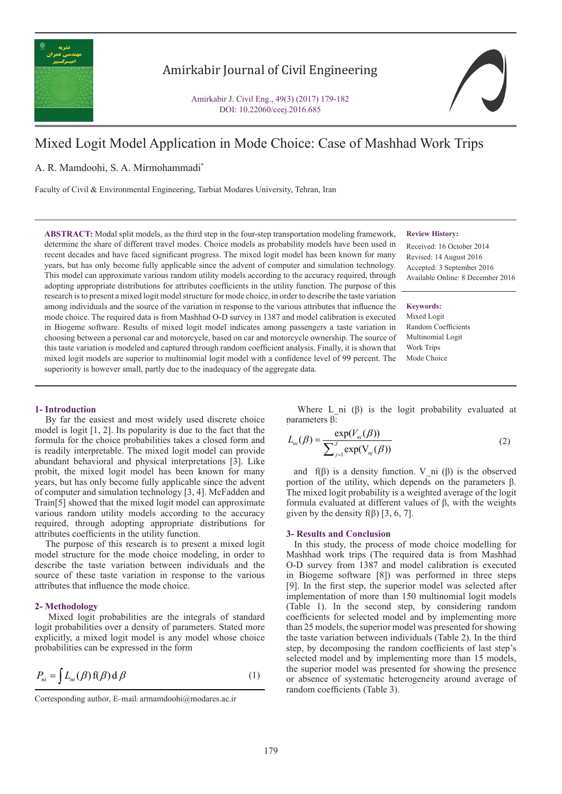

## Amirkabir Journal of Civil Engineering

Amirkabir J. Civil Eng., 49(3) (2017) 179-182 DOI: 10.22060/ceej.2016.685

# Mixed Logit Model Application in Mode Choice: Case of Mashhad Work Trips

A. R. Mamdoohi, S. A. Mirmohammadi\*

Faculty of Civil & Environmental Engineering, Tarbiat Modares University, Tehran, Iran

**ABSTRACT:** Modal split models, as the third step in the four-step transportation modeling framework, determine the share of different travel modes. Choice models as probability models have been used in recent decades and have faced significant progress. The mixed logit model has been known for many years, but has only become fully applicable since the advent of computer and simulation technology. This model can approximate various random utility models according to the accuracy required, through adopting appropriate distributions for attributes coefficients in the utility function. The purpose of this research is to present a mixed logit model structure for mode choice, in order to describe the taste variation among individuals and the source of the variation in response to the various attributes that influence the mode choice. The required data is from Mashhad O-D survey in 1387 and model calibration is executed in Biogeme software. Results of mixed logit model indicates among passengers a taste variation in choosing between a personal car and motorcycle, based on car and motorcycle ownership. The source of this taste variation is modeled and captured through random coefficient analysis. Finally, it is shown that mixed logit models are superior to multinomial logit model with a confidence level of 99 percent. The superiority is however small, partly due to the inadequacy of the aggregate data.

#### **Review History:**

Received: 16 October 2014 Revised: 14 August 2016 Accepted: 3 September 2016 Available Online: 8 December 2016

**Keywords:** Mixed Logit Random Coefficients Multinomial Logit Work Trips Mode Choice

#### **1- Introduction**

 By far the easiest and most widely used discrete choice model is logit [1, 2]. Its popularity is due to the fact that the formula for the choice probabilities takes a closed form and is readily interpretable. The mixed logit model can provide abundant behavioral and physical interpretations [3]. Like probit, the mixed logit model has been known for many years, but has only become fully applicable since the advent of computer and simulation technology [3, 4]. McFadden and Train[5] showed that the mixed logit model can approximate various random utility models according to the accuracy required, through adopting appropriate distributions for attributes coefficients in the utility function.

 The purpose of this research is to present a mixed logit model structure for the mode choice modeling, in order to describe the taste variation between individuals and the source of these taste variation in response to the various attributes that influence the mode choice.

#### **2- Methodology**

 Mixed logit probabilities are the integrals of standard logit probabilities over a density of parameters. Stated more explicitly, a mixed logit model is any model whose choice probabilities can be expressed in the form

$$
P_{ni} = \int L_{ni}(\beta) f(\beta) d\beta
$$
 (1)

Where L ni  $(\beta)$  is the logit probability evaluated at parameters β:

$$
L_{ni}(\beta) = \frac{\exp(V_{ni}(\beta))}{\sum_{j=1}^{J} \exp(V_{nj}(\beta))}
$$
\n(2)

and  $f(\beta)$  is a density function. V ni ( $\beta$ ) is the observed portion of the utility, which depends on the parameters β. The mixed logit probability is a weighted average of the logit formula evaluated at different values of β, with the weights given by the density  $f(\beta)$  [3, 6, 7].

#### **3- Results and Conclusion**

 In this study, the process of mode choice modelling for Mashhad work trips (The required data is from Mashhad O-D survey from 1387 and model calibration is executed in Biogeme software [8]) was performed in three steps [9]. In the first step, the superior model was selected after implementation of more than 150 multinomial logit models (Table 1). In the second step, by considering random coefficients for selected model and by implementing more than 25 models, the superior model was presented for showing the taste variation between individuals (Table 2). In the third step, by decomposing the random coefficients of last step's selected model and by implementing more than 15 models, the superior model was presented for showing the presence or absence of systematic heterogeneity around average of random coefficients (Table 3).

Corresponding author, E-mail: armamdoohi@modares.ac.ir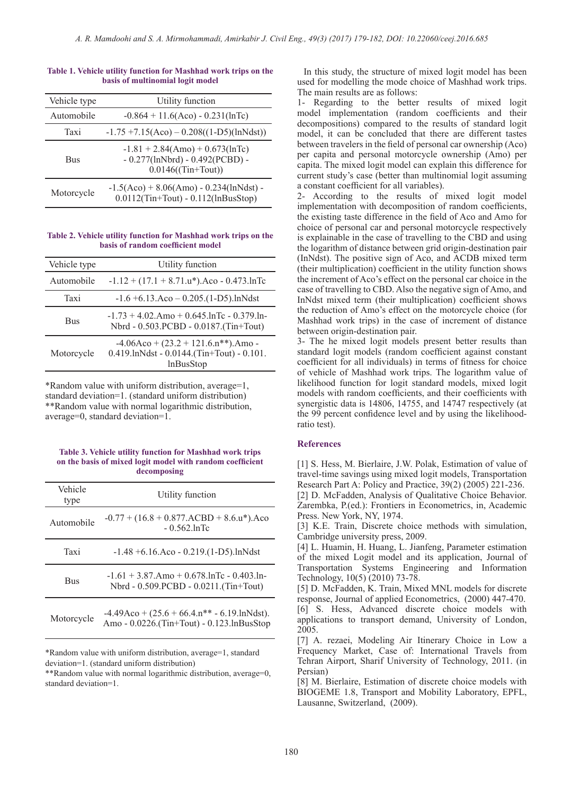| Table 1. Vehicle utility function for Mashhad work trips on the |  |
|-----------------------------------------------------------------|--|
| basis of multinomial logit model                                |  |

| Vehicle type | Utility function                                                                                   |
|--------------|----------------------------------------------------------------------------------------------------|
| Automobile   | $-0.864 + 11.6$ (Aco) - 0.231(lnTc)                                                                |
| Taxi         | $-1.75 + 7.15(Aco) - 0.208((1 - D5)(ln Ndst))$                                                     |
| <b>Bus</b>   | $-1.81 + 2.84(Amo) + 0.673(hTo)$<br>$-0.277$ (lnNbrd) $-0.492$ (PCBD) $-$<br>$0.0146$ ((Tin+Tout)) |
| Motorcycle   | $-1.5(Aco) + 8.06(Amo) - 0.234(lnNdst) -$<br>$0.0112$ (Tin+Tout) - $0.112$ (lnBusStop)             |

#### **Table 2. Vehicle utility function for Mashhad work trips on the basis of random coefficient model**

| Vehicle type | Utility function                                                                                          |
|--------------|-----------------------------------------------------------------------------------------------------------|
| Automobile   | $-1.12 + (17.1 + 8.71.u*)$ . Aco - 0.473. lnTc                                                            |
| Taxi         | $-1.6 + 6.13$ .Aco $- 0.205$ .(1-D5).lnNdst                                                               |
| <b>Bus</b>   | $-1.73 + 4.02$ .Amo + 0.645.lnTc - 0.379.ln-<br>Nbrd - 0.503.PCBD - 0.0187.(Tin+Tout)                     |
| Motorcycle   | $-4.06Aco + (23.2 + 121.6.n**).$ Amo -<br>$0.419$ .lnNdst - $0.0144$ .(Tin+Tout) - $0.101$ .<br>lnBusStop |

\*Random value with uniform distribution, average=1, standard deviation=1. (standard uniform distribution) \*\*Random value with normal logarithmic distribution, average=0, standard deviation=1.

#### **Table 3. Vehicle utility function for Mashhad work trips on the basis of mixed logit model with random coefficient decomposing**

| Vehicle<br>type | Utility function                                                                               |
|-----------------|------------------------------------------------------------------------------------------------|
| Automobile      | $-0.77 + (16.8 + 0.877 \text{ . } ACBD + 8.6 \text{ .}u^*).$ Aco<br>$-0.562$ .lnTc             |
| Taxi            | $-1.48 + 6.16$ .Aco $- 0.219$ .(1-D5).lnNdst                                                   |
| <b>Bus</b>      | $-1.61 + 3.87$ .Amo + 0.678.lnTc - 0.403.ln-<br>Nbrd - 0.509.PCBD - 0.0211.(Tin+Tout)          |
| Motorcycle      | $-4.49$ Aco + $(25.6 + 66.4.n** - 6.19.$ lnNdst).<br>Amo - 0.0226.(Tin+Tout) - 0.123.lnBusStop |

\*Random value with uniform distribution, average=1, standard deviation=1. (standard uniform distribution)

\*\*Random value with normal logarithmic distribution, average=0, standard deviation=1.

 In this study, the structure of mixed logit model has been used for modelling the mode choice of Mashhad work trips. The main results are as follows:

1- Regarding to the better results of mixed logit model implementation (random coefficients and their decompositions) compared to the results of standard logit model, it can be concluded that there are different tastes between travelers in the field of personal car ownership (Aco) per capita and personal motorcycle ownership (Amo) per capita. The mixed logit model can explain this difference for current study's case (better than multinomial logit assuming a constant coefficient for all variables).

2- According to the results of mixed logit model implementation with decomposition of random coefficients, the existing taste difference in the field of Aco and Amo for choice of personal car and personal motorcycle respectively is explainable in the case of travelling to the CBD and using the logarithm of distance between grid origin-destination pair (InNdst). The positive sign of Aco, and ACDB mixed term (their multiplication) coefficient in the utility function shows the increment of Aco's effect on the personal car choice in the case of travelling to CBD. Also the negative sign of Amo, and InNdst mixed term (their multiplication) coefficient shows the reduction of Amo's effect on the motorcycle choice (for Mashhad work trips) in the case of increment of distance between origin-destination pair.

3- The he mixed logit models present better results than standard logit models (random coefficient against constant coefficient for all individuals) in terms of fitness for choice of vehicle of Mashhad work trips. The logarithm value of likelihood function for logit standard models, mixed logit models with random coefficients, and their coefficients with synergistic data is 14806, 14755, and 14747 respectively (at the 99 percent confidence level and by using the likelihoodratio test).

### **References**

[1] S. Hess, M. Bierlaire, J.W. Polak, Estimation of value of travel-time savings using mixed logit models, Transportation Research Part A: Policy and Practice, 39(2) (2005) 221-236. [2] D. McFadden, Analysis of Qualitative Choice Behavior. Zarembka, P.(ed.): Frontiers in Econometrics, in, Academic Press. New York, NY, 1974.

[3] K.E. Train, Discrete choice methods with simulation, Cambridge university press, 2009.

[4] L. Huamin, H. Huang, L. Jianfeng, Parameter estimation of the mixed Logit model and its application, Journal of Transportation Systems Engineering and Information Technology, 10(5) (2010) 73-78.

[5] D. McFadden, K. Train, Mixed MNL models for discrete response, Journal of applied Econometrics, (2000) 447-470. [6] S. Hess, Advanced discrete choice models with applications to transport demand, University of London, 2005.

[7] A. rezaei, Modeling Air Itinerary Choice in Low a Frequency Market, Case of: International Travels from Tehran Airport, Sharif University of Technology, 2011. (in Persian)

[8] M. Bierlaire, Estimation of discrete choice models with BIOGEME 1.8, Transport and Mobility Laboratory, EPFL, Lausanne, Switzerland, (2009).